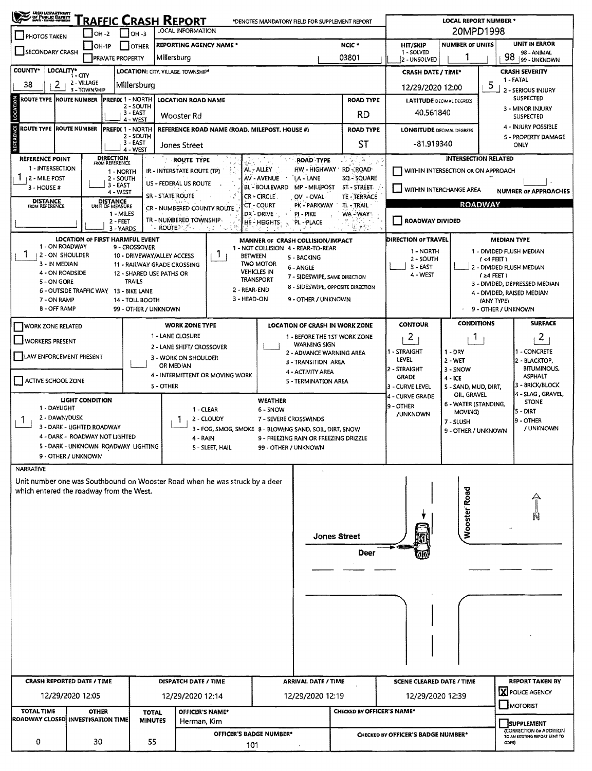| <b>UHO UEPARTNUMT</b><br>/ DF PUBLIC BAFILTY<br>* MATI - Barne - MITINDIA<br><u>TRAFFIC CRASH REPORT</u><br>*DENOTES MANDATORY FIELD FOR SUPPLEMENT REPORT<br><b>LOCAL INFORMATION</b> |                                                                                                     |                                                |                 |                            |                                                                                                |                                                                                                                       |                                        |                         | <b>LOCAL REPORT NUMBER *</b><br>20MPD1998                                                   |                                                 |                                                     |                                                                       |                                   |                                                             |                                           |                                   |  |  |
|----------------------------------------------------------------------------------------------------------------------------------------------------------------------------------------|-----------------------------------------------------------------------------------------------------|------------------------------------------------|-----------------|----------------------------|------------------------------------------------------------------------------------------------|-----------------------------------------------------------------------------------------------------------------------|----------------------------------------|-------------------------|---------------------------------------------------------------------------------------------|-------------------------------------------------|-----------------------------------------------------|-----------------------------------------------------------------------|-----------------------------------|-------------------------------------------------------------|-------------------------------------------|-----------------------------------|--|--|
| $ $ OH -3<br>$IOH -2$<br><b>PHOTOS TAKEN</b><br><b>REPORTING AGENCY NAME *</b>                                                                                                         |                                                                                                     |                                                |                 |                            |                                                                                                |                                                                                                                       |                                        |                         |                                                                                             | NCIC <sup>*</sup>                               | <b>NUMBER OF UNITS</b><br><b>HIT/SKIP</b>           |                                                                       |                                   | UNIT IN ERROR                                               |                                           |                                   |  |  |
| $[OH-1P]$<br><b>OTHER</b><br>SECONDARY CRASH<br><b>PRIVATE PROPERTY</b><br>Millersburg                                                                                                 |                                                                                                     |                                                |                 |                            |                                                                                                |                                                                                                                       |                                        |                         | 03801                                                                                       | 1 - SOLVED<br>2 - UNSOLVED                      |                                                     |                                                                       | 98 - ANIMAL<br>98<br>99 - UNKNOWN |                                                             |                                           |                                   |  |  |
| <b>COUNTY*</b><br>LOCALITY*<br>LOCATION: CITY, VILLAGE TOWNSHIP*                                                                                                                       |                                                                                                     |                                                |                 |                            |                                                                                                |                                                                                                                       |                                        |                         |                                                                                             |                                                 |                                                     | <b>CRASH SEVERITY</b><br><b>CRASH DATE / TIME*</b>                    |                                   |                                                             |                                           |                                   |  |  |
| 1-CITY<br>2 - VILLAGE<br>38<br>2<br>Millersburg                                                                                                                                        |                                                                                                     |                                                |                 |                            |                                                                                                |                                                                                                                       |                                        |                         |                                                                                             |                                                 |                                                     |                                                                       |                                   |                                                             | 1-FATAL<br>5                              |                                   |  |  |
| 3-TOWNSHIP<br>ROUTE TYPE ROUTE NUMBER<br><b>PREFIX 1 - NORTH</b><br><b>LOCATION ROAD NAME</b><br><b>ROAD TYPE</b>                                                                      |                                                                                                     |                                                |                 |                            |                                                                                                |                                                                                                                       |                                        |                         |                                                                                             |                                                 | 12/29/2020 12:00<br><b>LATITUDE DECIMAL DEGREES</b> | 2 - SERIOUS INJURY<br><b>SUSPECTED</b>                                |                                   |                                                             |                                           |                                   |  |  |
| LOCATION<br>2 - SOUTH<br>3 - EAST<br>Wooster Rd                                                                                                                                        |                                                                                                     |                                                |                 |                            |                                                                                                |                                                                                                                       |                                        |                         |                                                                                             |                                                 | RD                                                  | 40.561840                                                             |                                   | 3 - MINOR INJURY<br><b>SUSPECTED</b>                        |                                           |                                   |  |  |
| $4 - WEST$<br><b>ROUTE TYPE ROUTE NUMBER</b><br><b>PREFIX 1 - NORTH</b>                                                                                                                |                                                                                                     |                                                |                 |                            | REFERENCE ROAD NAME (ROAD, MILEPOST, HOUSE #)                                                  |                                                                                                                       |                                        |                         |                                                                                             |                                                 | <b>ROAD TYPE</b>                                    | <b>LONGITUDE DECIMAL DEGREES</b>                                      |                                   |                                                             | 4 - INJURY POSSIBLE                       |                                   |  |  |
| REFERENCE<br>2 - SOUTH<br>3 - EAST                                                                                                                                                     |                                                                                                     |                                                |                 |                            | Jones Street                                                                                   |                                                                                                                       |                                        |                         |                                                                                             |                                                 | ST                                                  | -81.919340                                                            |                                   |                                                             | ONLY                                      | <b>5 - PROPERTY DAMAGE</b>        |  |  |
| 4 - WEST<br><b>DIRECTION</b><br>FROM REFERENCE<br>REFERENCE POINT                                                                                                                      |                                                                                                     |                                                |                 |                            | <b>ROUTE TYPE</b><br><b>ROAD TYPE</b>                                                          |                                                                                                                       |                                        |                         |                                                                                             |                                                 | 2012年                                               |                                                                       |                                   |                                                             |                                           |                                   |  |  |
| 1 - INTERSECTION                                                                                                                                                                       |                                                                                                     | AL - ALLEY<br>Ã.<br>IR - INTERSTATE ROUTE (TP) |                 |                            |                                                                                                |                                                                                                                       |                                        | HW - HIGHWAY 'RD - ROAD | <b>INTERSECTION RELATED</b><br>WITHIN INTERSECTION OR ON APPROACH                           |                                                 |                                                     |                                                                       |                                   |                                                             |                                           |                                   |  |  |
| 1<br>12 - MILE POST                                                                                                                                                                    | 1 - NORTH<br>AV - AVENUE<br>2 - SOUTH<br>US - FEDERAL US ROUTE<br>3 - EAST<br><b>BL - BOULEVARD</b> |                                                |                 |                            |                                                                                                |                                                                                                                       |                                        |                         |                                                                                             |                                                 | SQ - SQUARE                                         |                                                                       |                                   |                                                             |                                           |                                   |  |  |
| 3 - HOUSE #<br>4 - WEST<br><b>SR - STATE ROUTE</b><br><b>CR-CIRCLE</b>                                                                                                                 |                                                                                                     |                                                |                 |                            |                                                                                                |                                                                                                                       |                                        |                         | <b>MP - MILEPOST</b><br>ST - STREET<br>WITHIN INTERCHANGE AREA<br>OV - OVAL<br>TE - TERRACE |                                                 |                                                     |                                                                       |                                   |                                                             |                                           | <b>NUMBER OF APPROACHES</b>       |  |  |
| <b>DISTANCE</b><br><b>FROM REFERENCE</b>                                                                                                                                               |                                                                                                     | DISTANCE<br>UNIT OF MEASURE                    |                 |                            |                                                                                                | <b>CT - COURT</b><br>PK - PARKWAY<br>TL-TRAIL<br>CR - NUMBERED COUNTY ROUTE<br>.DR - DRIVE<br>PI - PIKE<br>WA - WAY - |                                        |                         |                                                                                             |                                                 |                                                     | <b>ROADWAY</b>                                                        |                                   |                                                             |                                           |                                   |  |  |
| $1 - M(LES)$<br>TR - NUMBERED TOWNSHIP-<br>2 - FEET<br>HE HEIGHTS<br>PL - PLACE<br>$\cdot$ ROUTE $\geq$<br>3 - YARDS                                                                   |                                                                                                     |                                                |                 |                            |                                                                                                |                                                                                                                       |                                        |                         |                                                                                             |                                                 | 低温气力                                                | <b>ROADWAY DIVIDED</b>                                                |                                   |                                                             |                                           |                                   |  |  |
|                                                                                                                                                                                        | <b>LOCATION OF FIRST HARMFUL EVENT</b>                                                              |                                                |                 |                            |                                                                                                |                                                                                                                       |                                        |                         | MANNER OF CRASH COLLISION/IMPACT                                                            |                                                 |                                                     | DIRECTION OF TRAVEL                                                   |                                   |                                                             | <b>MEDIAN TYPE</b>                        |                                   |  |  |
| 1 - ON ROADWAY<br>2 - ON SHOULDER                                                                                                                                                      |                                                                                                     |                                                | 9 - CROSSOVER   |                            |                                                                                                | L                                                                                                                     |                                        |                         |                                                                                             | 1 - NOT COLLISION 4 - REAR-TO-REAR<br>1 - NORTH |                                                     |                                                                       |                                   |                                                             | 1 - DIVIDED FLUSH MEDIAN                  |                                   |  |  |
| 3 - IN MEDIAN                                                                                                                                                                          |                                                                                                     |                                                |                 | 10 - DRIVEWAY/ALLEY ACCESS | 11 - RAILWAY GRADE CROSSING                                                                    |                                                                                                                       | <b>BETWEEN</b><br><b>TWO MOTOR</b>     |                         | 5 - BACKING<br>6 - ANGLE                                                                    |                                                 |                                                     | 2 - SOUTH<br>$($ <4 FEET)<br>$3 - EAST$                               |                                   |                                                             |                                           |                                   |  |  |
| 4 - ON ROADSIDE<br>5 - ON GORE                                                                                                                                                         |                                                                                                     |                                                | <b>TRAILS</b>   | 12 - SHARED USE PATHS OR   |                                                                                                |                                                                                                                       | <b>VEHICLES IN</b><br><b>TRANSPORT</b> |                         | 7 - SIDESWIPE, SAME DIRECTION                                                               |                                                 |                                                     | 4 WEST                                                                |                                   | 2 - DIVIDED FLUSH MEDIAN<br>$(24$ FEET)                     |                                           |                                   |  |  |
|                                                                                                                                                                                        | 6 - OUTSIDE TRAFFIC WAY 13 - BIKE LANE                                                              |                                                |                 |                            |                                                                                                |                                                                                                                       | 2 - REAR-END                           |                         | 8 - SIDESWIPE, OPPOSITE DIRECTION                                                           |                                                 |                                                     |                                                                       |                                   | 3 - DIVIDED, DEPRESSED MEDIAN<br>4 - DIVIDED, RAISED MEDIAN |                                           |                                   |  |  |
| 7 - ON RAMP<br>8 - OFF RAMP                                                                                                                                                            |                                                                                                     |                                                | 14 - TOLL BOOTH | 99 - OTHER / UNKNOWN       |                                                                                                |                                                                                                                       | 3 - HEAD-ON                            |                         | 9 - OTHER / UNKNOWN                                                                         |                                                 |                                                     |                                                                       |                                   |                                                             |                                           | (ANY TYPE)<br>9 - OTHER / UNKNOWN |  |  |
|                                                                                                                                                                                        |                                                                                                     |                                                |                 |                            |                                                                                                |                                                                                                                       |                                        |                         |                                                                                             |                                                 |                                                     |                                                                       |                                   | <b>CONDITIONS</b>                                           |                                           | <b>SURFACE</b>                    |  |  |
| <b>WORK ZONE RELATED</b>                                                                                                                                                               |                                                                                                     |                                                |                 |                            | 1 - LANE CLOSURE                                                                               | <b>WORK ZONE TYPE</b><br>LOCATION OF CRASH IN WORK ZONE<br>1 - BEFORE THE 1ST WORK ZONE                               |                                        |                         |                                                                                             |                                                 |                                                     | <b>CONTOUR</b><br>2                                                   |                                   | 1                                                           |                                           | 2                                 |  |  |
| WORKERS PRESENT                                                                                                                                                                        |                                                                                                     |                                                |                 |                            | 2 - LANE SHIFT/ CROSSOVER                                                                      |                                                                                                                       |                                        |                         | <b>WARNING SIGN</b>                                                                         |                                                 |                                                     | 1 - STRAIGHT                                                          | $1 - DRY$                         |                                                             | 1 - CONCRETE                              |                                   |  |  |
| LAW ENFORCEMENT PRESENT                                                                                                                                                                |                                                                                                     |                                                |                 |                            | 3 - WORK ON SHOULDER                                                                           |                                                                                                                       |                                        |                         | 2 - ADVANCE WARNING AREA<br>LEVEL<br>$2 - WET$<br>3 - TRANSITION AREA                       |                                                 |                                                     |                                                                       |                                   |                                                             |                                           | 2 - BLACKTOP,                     |  |  |
|                                                                                                                                                                                        |                                                                                                     |                                                |                 |                            | OR MEDIAN                                                                                      | 4 - ACTIVITY AREA<br>4 - INTERMITTENT OR MOVING WORK                                                                  |                                        |                         |                                                                                             |                                                 |                                                     | 2 - STRAIGHT<br>3 - SNOW<br><b>ASPHALT</b><br><b>GRADE</b><br>4 - ICE |                                   |                                                             |                                           | <b>BITUMINOUS,</b>                |  |  |
| ACTIVE SCHOOL ZONE                                                                                                                                                                     |                                                                                                     |                                                |                 | 5 - OTHER                  |                                                                                                |                                                                                                                       |                                        |                         | 5 - TERMINATION AREA                                                                        |                                                 |                                                     | 3 - CURVE LEVEL                                                       |                                   | 5 - SAND, MUD, DIRT,                                        |                                           | 3 - 8RICK/BLOCK                   |  |  |
|                                                                                                                                                                                        | LIGHT CONDITION                                                                                     |                                                |                 |                            |                                                                                                |                                                                                                                       | <b>WEATHER</b>                         |                         |                                                                                             |                                                 |                                                     | 4 - CURVE GRADE                                                       |                                   | OIL, GRAVEL<br>6 - WATER (STANDING,                         |                                           | 4 - SLAG, GRAVEL,<br><b>STONE</b> |  |  |
| 1 - DAYLIGHT                                                                                                                                                                           |                                                                                                     |                                                |                 |                            | 1 - CLEAR                                                                                      |                                                                                                                       | <b>6 - 5NOW</b>                        |                         |                                                                                             |                                                 |                                                     | 9 - OTHER<br>/UNKNOWN                                                 | MOVING)                           |                                                             |                                           | IS - DIRT                         |  |  |
| 2 - DAWN/DUSK<br>3 - DARK - LIGHTED ROADWAY                                                                                                                                            |                                                                                                     |                                                |                 |                            | 2 - CLOUDY<br>7 - SEVERE CROSSWINDS<br>3 - FOG, SMOG, SMOKE 8 - BLOWING SAND, SOIL, DIRT, SNOW |                                                                                                                       |                                        |                         |                                                                                             |                                                 |                                                     |                                                                       | 7 - SLUSH                         | 9 - OTHER / UNKNOWN                                         |                                           | 19 - OTHER<br>/ UNKNOWN           |  |  |
| 4 - DARK - ROADWAY NOT LIGHTED<br>5 - DARK - UNKNOWN ROADWAY LIGHTING                                                                                                                  |                                                                                                     |                                                |                 |                            | 4 - RAIN<br>9 - FREEZING RAIN OR FREEZING DRIZZLE<br>5 - SLEET, HAIL                           |                                                                                                                       |                                        |                         |                                                                                             |                                                 |                                                     |                                                                       |                                   |                                                             |                                           |                                   |  |  |
| 9 - OTHER / UNKNOWN                                                                                                                                                                    |                                                                                                     | 99 - OTHER / UNKNOWN                           |                 |                            |                                                                                                |                                                                                                                       |                                        |                         |                                                                                             |                                                 |                                                     |                                                                       |                                   |                                                             |                                           |                                   |  |  |
| <b>NARRATIVE</b>                                                                                                                                                                       |                                                                                                     |                                                |                 |                            |                                                                                                |                                                                                                                       |                                        |                         |                                                                                             |                                                 |                                                     |                                                                       |                                   |                                                             |                                           |                                   |  |  |
| Unit number one was Southbound on Wooster Road when he was struck by a deer                                                                                                            |                                                                                                     |                                                |                 |                            |                                                                                                |                                                                                                                       |                                        |                         |                                                                                             |                                                 |                                                     |                                                                       |                                   |                                                             |                                           |                                   |  |  |
| which entered the roadway from the West.                                                                                                                                               |                                                                                                     |                                                |                 |                            |                                                                                                |                                                                                                                       |                                        |                         |                                                                                             |                                                 |                                                     |                                                                       |                                   |                                                             |                                           |                                   |  |  |
|                                                                                                                                                                                        |                                                                                                     |                                                |                 |                            |                                                                                                |                                                                                                                       |                                        |                         |                                                                                             |                                                 |                                                     |                                                                       |                                   |                                                             |                                           |                                   |  |  |
|                                                                                                                                                                                        |                                                                                                     |                                                |                 |                            |                                                                                                |                                                                                                                       |                                        |                         |                                                                                             |                                                 |                                                     |                                                                       |                                   |                                                             |                                           |                                   |  |  |
|                                                                                                                                                                                        |                                                                                                     |                                                |                 |                            |                                                                                                |                                                                                                                       |                                        |                         | Wooster Road<br><b>Jones Street</b>                                                         |                                                 |                                                     |                                                                       |                                   |                                                             |                                           |                                   |  |  |
|                                                                                                                                                                                        |                                                                                                     |                                                |                 |                            |                                                                                                |                                                                                                                       |                                        |                         |                                                                                             |                                                 | Deer                                                |                                                                       |                                   |                                                             |                                           |                                   |  |  |
|                                                                                                                                                                                        |                                                                                                     |                                                |                 |                            |                                                                                                |                                                                                                                       |                                        |                         |                                                                                             |                                                 |                                                     |                                                                       |                                   |                                                             |                                           |                                   |  |  |
|                                                                                                                                                                                        |                                                                                                     |                                                |                 |                            |                                                                                                |                                                                                                                       |                                        |                         |                                                                                             |                                                 |                                                     |                                                                       |                                   |                                                             |                                           |                                   |  |  |
|                                                                                                                                                                                        |                                                                                                     |                                                |                 |                            |                                                                                                |                                                                                                                       |                                        |                         |                                                                                             |                                                 |                                                     |                                                                       |                                   |                                                             |                                           |                                   |  |  |
|                                                                                                                                                                                        |                                                                                                     |                                                |                 |                            |                                                                                                |                                                                                                                       |                                        |                         |                                                                                             |                                                 |                                                     |                                                                       |                                   |                                                             |                                           |                                   |  |  |
|                                                                                                                                                                                        |                                                                                                     |                                                |                 |                            |                                                                                                |                                                                                                                       |                                        |                         |                                                                                             |                                                 |                                                     |                                                                       |                                   |                                                             |                                           |                                   |  |  |
|                                                                                                                                                                                        |                                                                                                     |                                                |                 |                            |                                                                                                |                                                                                                                       |                                        |                         |                                                                                             |                                                 |                                                     |                                                                       |                                   |                                                             |                                           |                                   |  |  |
|                                                                                                                                                                                        |                                                                                                     |                                                |                 |                            |                                                                                                |                                                                                                                       |                                        |                         |                                                                                             |                                                 |                                                     |                                                                       |                                   |                                                             |                                           |                                   |  |  |
|                                                                                                                                                                                        |                                                                                                     |                                                |                 |                            |                                                                                                |                                                                                                                       |                                        |                         |                                                                                             |                                                 |                                                     |                                                                       |                                   |                                                             |                                           |                                   |  |  |
|                                                                                                                                                                                        |                                                                                                     |                                                |                 |                            |                                                                                                |                                                                                                                       |                                        |                         |                                                                                             |                                                 |                                                     |                                                                       |                                   |                                                             |                                           |                                   |  |  |
| <b>CRASH REPORTED DATE / TIME</b>                                                                                                                                                      |                                                                                                     |                                                |                 |                            | DISPATCH DATE / TIME<br><b>ARRIVAL DATE / TIME</b>                                             |                                                                                                                       |                                        |                         |                                                                                             |                                                 |                                                     | <b>SCENE CLEARED DATE / TIME</b>                                      |                                   |                                                             | <b>REPORT TAKEN BY</b><br>X POLICE AGENCY |                                   |  |  |
|                                                                                                                                                                                        | 12/29/2020 12:05                                                                                    |                                                |                 |                            | 12/29/2020 12:14                                                                               |                                                                                                                       |                                        |                         | 12/29/2020 12:19                                                                            |                                                 |                                                     | 12/29/2020 12:39<br>MOTORIST                                          |                                   |                                                             |                                           |                                   |  |  |
| <b>TOTAL TIME</b><br><b>OTHER</b><br><b>TOTAL</b><br>ROADWAY CLOSED  INVESTIGATION TIME <br><b>MINUTES</b>                                                                             |                                                                                                     |                                                |                 |                            | OFFICER'S NAME*                                                                                |                                                                                                                       |                                        |                         |                                                                                             |                                                 | CHECKED BY OFFICER'S NAME*                          |                                                                       |                                   |                                                             |                                           |                                   |  |  |
|                                                                                                                                                                                        |                                                                                                     |                                                |                 |                            | Herman, Kim<br>OFFICER'S BADGE NUMBER*                                                         |                                                                                                                       |                                        |                         |                                                                                             |                                                 | CHECKED BY OFFICER'S BADGE NUMBER*                  |                                                                       |                                   | <b>SUPPLEMENT</b><br>(CORRECTION OR ADDITION                |                                           |                                   |  |  |
| 0<br>30<br>55                                                                                                                                                                          |                                                                                                     |                                                |                 |                            |                                                                                                | 101                                                                                                                   |                                        |                         |                                                                                             |                                                 |                                                     | TO AN EXISTING REPORT SENT TO<br>ODPS)                                |                                   |                                                             |                                           |                                   |  |  |
|                                                                                                                                                                                        |                                                                                                     |                                                |                 |                            |                                                                                                |                                                                                                                       |                                        |                         |                                                                                             |                                                 |                                                     |                                                                       |                                   |                                                             |                                           |                                   |  |  |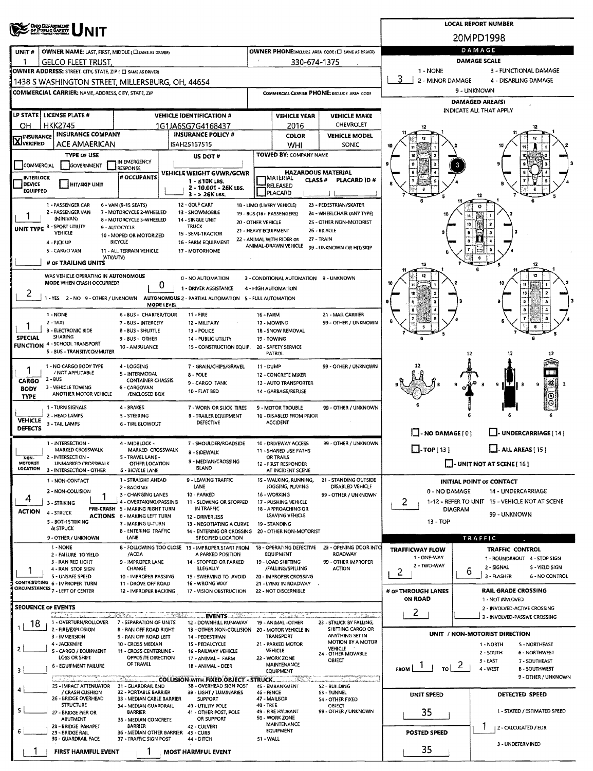|                                                                  | <b>CHIO DEPARTMENT</b><br>OF PUBLIC BAFETY                                                                            |                                                               | <b>LOCAL REPORT NUMBER</b>                        |                                                                                                                |                                     |                                                         |                                                      |                            |                                                               |  |  |  |  |  |
|------------------------------------------------------------------|-----------------------------------------------------------------------------------------------------------------------|---------------------------------------------------------------|---------------------------------------------------|----------------------------------------------------------------------------------------------------------------|-------------------------------------|---------------------------------------------------------|------------------------------------------------------|----------------------------|---------------------------------------------------------------|--|--|--|--|--|
|                                                                  |                                                                                                                       |                                                               |                                                   |                                                                                                                |                                     |                                                         |                                                      |                            | 20MPD1998                                                     |  |  |  |  |  |
| UNIT#                                                            | <b>OWNER NAME: LAST, FIRST, MIDDLE (CI SAME AS DRIVER)</b>                                                            |                                                               | OWNER PHONE:INCLUDE AREA CODE (E) SAME AS DRIVER) | DAMAGE                                                                                                         |                                     |                                                         |                                                      |                            |                                                               |  |  |  |  |  |
| L.                                                               | <b>GELCO FLEET TRUST.</b>                                                                                             |                                                               | 330-674-1375                                      | DAMAGE SCALE                                                                                                   |                                     |                                                         |                                                      |                            |                                                               |  |  |  |  |  |
|                                                                  | OWNER ADDRESS: STREET, CITY, STATE, ZIP ( C) SAME AS DRIVER!                                                          |                                                               |                                                   | 1 - NONE<br>3 - FUNCTIONAL DAMAGE<br>3<br>2 - MINOR DAMAGE<br>4 - DISABLING DAMAGE                             |                                     |                                                         |                                                      |                            |                                                               |  |  |  |  |  |
|                                                                  | 1438 S WASHINGTON STREET, MILLERSBURG, OH, 44654<br>COMMERCIAL CARRIER: NAME, ADDRESS, CITY, STATE, ZIP               |                                                               |                                                   |                                                                                                                |                                     |                                                         | COMMERCIAL CARRIER PHONE: INCLUDE AREA CODE          | 9 - UNKNOWN                |                                                               |  |  |  |  |  |
|                                                                  |                                                                                                                       |                                                               |                                                   |                                                                                                                |                                     |                                                         | <b>DAMAGED AREA(S)</b>                               |                            |                                                               |  |  |  |  |  |
|                                                                  | LP STATE LICENSE PLATE #                                                                                              |                                                               |                                                   | <b>VEHICLE IDENTIFICATION #</b>                                                                                |                                     | <b>VEHICLE YEAR</b>                                     | <b>VEHICLE MAKE</b>                                  |                            | <b>INDICATE ALL THAT APPLY</b>                                |  |  |  |  |  |
| ΟН                                                               | <b>HKK2745</b>                                                                                                        |                                                               |                                                   | 1G1JA6SG7G4168437                                                                                              |                                     | 2016                                                    | <b>CHEVROLET</b>                                     |                            |                                                               |  |  |  |  |  |
| <b>INSURANCE</b>                                                 | <b>INSURANCE COMPANY</b>                                                                                              |                                                               |                                                   | <b>INSURANCE POLICY #</b>                                                                                      |                                     | <b>COLOR</b>                                            | <b>VEHICLE MODEL</b>                                 |                            |                                                               |  |  |  |  |  |
| XVERIFIED                                                        | ACE AMAERICAN                                                                                                         |                                                               |                                                   | ISAH25157515                                                                                                   |                                     | WHI                                                     | SONIC                                                |                            |                                                               |  |  |  |  |  |
|                                                                  | <b>TYPE OF USE</b>                                                                                                    | IN EMERGENCY                                                  |                                                   | US DOT#                                                                                                        |                                     | TOWED BY: COMPANY NAME                                  |                                                      |                            |                                                               |  |  |  |  |  |
| COMMERCIAL                                                       | GOVERNMENT                                                                                                            | <b>RESPONSE</b><br># OCCUPANTS                                |                                                   | VEHICLE WEIGHT GVWR/GCWR                                                                                       |                                     | <b>HAZARDOUS MATERIAL</b>                               |                                                      |                            |                                                               |  |  |  |  |  |
| <b>INTERLOCK</b><br>DEVICE                                       | <b>HIT/SKIP UNIT</b>                                                                                                  |                                                               |                                                   | $1 - 510K$ LBS.<br>2 - 10.001 - 26K LBS.                                                                       |                                     | IMATERIAL<br>CLASS <sup>#</sup><br>RELEASED             | PLACARD ID#                                          |                            |                                                               |  |  |  |  |  |
| <b>EQUIPPED</b>                                                  |                                                                                                                       |                                                               |                                                   | $3 - 26K$ LBS.                                                                                                 |                                     | <b>IPLACARD</b>                                         |                                                      |                            | 12                                                            |  |  |  |  |  |
|                                                                  | 1 - PASSENGER CAR<br>2 - PASSENGER VAN                                                                                | 6 - VAN (9-15 SEATS)<br>7 - MOTORCYCLE 2-WHEELED              |                                                   | 12 - GOLF CART<br>13 - SNOWMOBILE                                                                              |                                     | 18 - LIMO (LIVERY VEHICLE)<br>19 - BUS (16+ PASSENGERS) | 23 - PEDESTRIAN/SKATER<br>24 - WHEELCHAIR (ANY TYPE) |                            |                                                               |  |  |  |  |  |
|                                                                  | (MINIVAN)                                                                                                             | 8 - MOTORCYCLE 3-WHEELED                                      | 2S - OTHER NON-MOTORIST                           |                                                                                                                |                                     |                                                         |                                                      |                            |                                                               |  |  |  |  |  |
|                                                                  | <b>UNIT TYPE 3 - SPORT UTILITY</b><br>VEHICLE                                                                         | 9 - AUTOCYCLE<br>10 - MOPED OR MOTORIZED                      |                                                   | <b>TRUCK</b><br>15 - SEMI-TRACTOR                                                                              |                                     | 21 - HEAVY EQUIPMENT                                    | 26 - BICYCLE                                         |                            |                                                               |  |  |  |  |  |
|                                                                  | 4 - PICK UP<br>S - CARGO VAN                                                                                          | <b>BICYCLE</b>                                                |                                                   | 16 - FARM EQUIPMENT                                                                                            |                                     | 22 - ANIMAL WITH RIDER OR<br>ANIMAL-DRAWN VEHICLE       | 27 - TRAIN<br>99 - UNKNOWN OR HIT/SKIP               |                            |                                                               |  |  |  |  |  |
|                                                                  | (ATV/UTV)<br># OF TRAILING UNITS                                                                                      | 11 - ALL TERRAIN VEHICLE                                      |                                                   | 17 - MOTORHOME                                                                                                 |                                     |                                                         |                                                      |                            |                                                               |  |  |  |  |  |
|                                                                  |                                                                                                                       |                                                               |                                                   |                                                                                                                |                                     |                                                         |                                                      |                            | 12                                                            |  |  |  |  |  |
|                                                                  | WAS VEHICLE OPERATING IN AUTONOMOUS<br>MODE WHEN CRASH OCCURRED?                                                      |                                                               | 0                                                 | 0 - NO AUTOMATION                                                                                              |                                     | 3 - CONDITIONAL AUTOMATION 9 - UNKNOWN                  |                                                      |                            |                                                               |  |  |  |  |  |
| 2                                                                |                                                                                                                       |                                                               |                                                   | 1 - DRIVER ASSISTANCE<br>-YES 2 - NO 9 - OTHER / UNKNOWN AUTONOMOUS 2 - PARTIAL AUTOMATION 5 - FULL AUTOMATION |                                     | 4 - HIGH AUTOMATION                                     |                                                      |                            |                                                               |  |  |  |  |  |
|                                                                  |                                                                                                                       |                                                               | MODE LEVEL                                        |                                                                                                                |                                     |                                                         |                                                      |                            |                                                               |  |  |  |  |  |
|                                                                  | 1 - NONE<br>$2 - TAX$                                                                                                 | 6 - BUS - CHARTER/TOUR<br>7 - BUS - INTERCITY                 |                                                   | $11 - FIRE$<br>12 - MILITARY                                                                                   | 16 - FARM                           | 17 - MOWING                                             | 21 - MAIL CARRIER<br>99 - OTHER / UNKNOWN            |                            |                                                               |  |  |  |  |  |
|                                                                  | 3 - ELECTRONIC RIDE                                                                                                   | <b>B-BUS-SHUTTLE</b>                                          |                                                   | 13 - POLICE                                                                                                    |                                     | 18 - SNOW REMOVAL                                       |                                                      |                            |                                                               |  |  |  |  |  |
| <b>SPECIAL</b>                                                   | <b>SHARING</b><br>FUNCTION 4 - SCHOOL TRANSPORT                                                                       | 9 - BUS - OTHER<br>10 - AMBULANCE                             |                                                   |                                                                                                                |                                     |                                                         |                                                      |                            |                                                               |  |  |  |  |  |
|                                                                  | 5 - BUS - TRANSIT/COMMUTER                                                                                            |                                                               |                                                   | 15 - CONSTRUCTION EQUIP,                                                                                       |                                     | 20 - SAFETY SERVICE<br>PATROL                           |                                                      |                            | 12<br>12                                                      |  |  |  |  |  |
|                                                                  | 1 - NO CARGO BODY TYPE<br>/ NOT APPLICABLE                                                                            | 4 - LOGGING                                                   |                                                   | 7 - GRAIN/CHIPS/GRAVEL                                                                                         | 11 - DUMP                           |                                                         | 99 - OTHER / UNKNOWN                                 |                            |                                                               |  |  |  |  |  |
| 5 - INTERMODAL<br>$2 - 8US$<br><b>CONTAINER CHASSIS</b><br>CARGO |                                                                                                                       |                                                               |                                                   | 8 - POLE<br>9 - CARGO TANK                                                                                     |                                     | <b>12 - CONCRETE MIXER</b><br>13 - AUTO TRANSPORTER     |                                                      |                            | 祐<br>9<br>9<br>- 3                                            |  |  |  |  |  |
| <b>BODY</b><br><b>TYPE</b>                                       | 3 - VEHICLE TOWING<br>ANOTHER MOTOR VEHICLE                                                                           | 6 - CARGOVAN<br>/ENCLOSED BOX                                 |                                                   | 10 - FLAT BED                                                                                                  |                                     | 14 - GARBAGE/REFUSE                                     |                                                      |                            |                                                               |  |  |  |  |  |
|                                                                  | 1 - TURN SIGNALS                                                                                                      | 4 - BRAKES                                                    |                                                   | 7 - WORN OR SLICK TIRES                                                                                        |                                     | 9 - MOTOR TROUBLE                                       | 99 - OTHER / UNKNOWN                                 |                            |                                                               |  |  |  |  |  |
| <b>VEHICLE</b>                                                   | 2 - HEAD LAMPS                                                                                                        | 5 - STEERING                                                  |                                                   | <b>B - TRAILER EQUIPMENT</b>                                                                                   |                                     | 10 - DISABLED FROM PRIOR                                |                                                      |                            |                                                               |  |  |  |  |  |
| DEFECTS                                                          | 3 - TAIL LAMPS                                                                                                        | <b>6 - TIRE BLOWOUT</b>                                       |                                                   | <b>DEFECTIVE</b>                                                                                               |                                     | <b>ACCIDENT</b>                                         |                                                      | $\Box$ - NO DAMAGE [ 0 ]   | L. UNDERCARRIAGE [ 14 ]                                       |  |  |  |  |  |
|                                                                  | 1 - INTERSECTION -                                                                                                    | 4 - MIDBLOCK -                                                |                                                   | 7 - SHOULDER/ROADSIDE                                                                                          |                                     | 10 - DRIVEWAY ACCESS                                    | 99 - OTHER / UNKNOWN                                 |                            |                                                               |  |  |  |  |  |
|                                                                  | <b>MARKED CROSSWALK</b><br>MARKED CROSSWALK<br><b>B - SIDEWALK</b><br>2 - INTERSECTION -<br>5 - TRAVEL LANE -<br>NON- |                                                               |                                                   |                                                                                                                |                                     | 11 - SHARED USE PATHS<br>OR TRAILS                      |                                                      | $\Box$ -TOP [13]           | - ALL AREAS [ 15 ]                                            |  |  |  |  |  |
| MOTORIST<br><b>LOCATION</b>                                      | <b>UNMARKED CROSSWALK</b><br>3 - INTERSECTION - OTHER                                                                 | OTHER LOCATION<br><b>6 - BICYCLE LANE</b>                     |                                                   | 9 - MEDIAN/CROSSING<br><b>ISLAND</b>                                                                           |                                     |                                                         | <b>J-UNIT NOT AT SCENE</b> [16]                      |                            |                                                               |  |  |  |  |  |
|                                                                  | 1 - NON-CONTACT                                                                                                       | 1 - STRAIGHT AHEAD                                            |                                                   | 9 - LEAVING TRAFFIC                                                                                            |                                     | AT INCIDENT SCENE<br>15 - WALKING, RUNNING,             | 21 - STANDING OUTSIDE                                |                            | INITIAL POINT OF CONTACT                                      |  |  |  |  |  |
|                                                                  | 2 - NON-COLLISION                                                                                                     | 2 - 8ACKING<br>3 - CHANGING LANES                             |                                                   | DISABLED VEHICLE<br>99 - OTHER / UNKNOWN                                                                       | 0 - NO DAMAGE<br>14 - UNDERCARRIAGE |                                                         |                                                      |                            |                                                               |  |  |  |  |  |
| 4                                                                | 1<br>3 - STRIKING                                                                                                     | 4 - OVERTAKING/PASSING<br>PRE-CRASH 5 - MAKING RIGHT TURN     |                                                   |                                                                                                                | $\mathbf{2}$                        | 1-12 - REFER TO UNIT 15 - VEHICLE NOT AT SCENE          |                                                      |                            |                                                               |  |  |  |  |  |
| <b>ACTION</b>                                                    | 4 - STRUCK                                                                                                            | <b>ACTIONS</b> 6 - MAKING LEFT TURN                           |                                                   | IN TRAFFIC<br>12 - DRIVERLESS                                                                                  |                                     | 18 - APPROACHING OR<br>LEAVING VEHICLE                  |                                                      |                            | <b>DIAGRAM</b><br>99 - UNKNOWN                                |  |  |  |  |  |
|                                                                  | 5 - BOTH STRIKING<br>& STRUCK                                                                                         | 7 - MAKING U-TURN<br>8 - ENTERING TRAFFIC                     |                                                   | 13 - NEGOTIATING A CURVE<br>14 - ENTERING OR CROSSING 20 - OTHER NON-MOTORIST                                  |                                     | 19 - STANDING                                           |                                                      | 13 - TOP                   |                                                               |  |  |  |  |  |
|                                                                  | 9 - OTHER / UNKNOWN                                                                                                   | LANE                                                          |                                                   | <b>SPECIFIED LOCATION</b>                                                                                      |                                     |                                                         |                                                      |                            | TRAFFIC                                                       |  |  |  |  |  |
|                                                                  | 1 - NONE<br>2 - FAILURE TO YIELD                                                                                      | /ACDA                                                         |                                                   | 8 - FOLLOWING TOO CLOSE 13 - IMPROPER START FROM<br>A PARKED POSITION                                          |                                     | 18 - OPERATING DEFECTIVE<br>EQUIPMENT                   | 23 - OPENING DOOR INTO<br><b>ROADWAY</b>             | <b>TRAFFICWAY FLOW</b>     | <b>TRAFFIC CONTROL</b>                                        |  |  |  |  |  |
|                                                                  | 3 - RAN RED LIGHT<br>4 - RAN STOP SIGN                                                                                | 9 - IMPROPER LANE<br><b>CHANGE</b>                            |                                                   | 14 - STOPPED OR PARKED<br><b>ILLEGALLY</b>                                                                     |                                     | 19 - LOAD SHIFTING<br>/FALLING/SPILLING                 | 99 - OTHER IMPROPER<br><b>ACTION</b>                 | 1 - ONE-WAY<br>2 - TWO-WAY | 1 - ROUNDABOUT 4 - STOP SIGN<br>2 - SIGNAL<br>S - YIELD SIGN  |  |  |  |  |  |
|                                                                  | 5 - UNSAFE SPEED                                                                                                      | 10 - IMPROPER PASSING                                         |                                                   | 15 - SWERVING TO AVOID                                                                                         |                                     | 20 - IMPROPER CROSSING                                  |                                                      | 2                          | 6<br>3 - FLASHER<br><b>6 - NO CONTROL</b>                     |  |  |  |  |  |
|                                                                  | CONTRIBUTING 6 - IMPROPER TURN<br>CIRCUMSTANCES 7 - LEFT OF CENTER                                                    | 11 - DROVE OFF ROAD<br>12 - IMPROPER BACKING                  |                                                   | 16 - WRONG WAY<br>17 - VISION OBSTRUCTION                                                                      |                                     | 21 - LYING IN ROADWAY<br>22 - NOT DISCERNIBLE           |                                                      | # OF THROUGH LANES         | <b>RAIL GRADE CROSSING</b>                                    |  |  |  |  |  |
|                                                                  |                                                                                                                       |                                                               |                                                   |                                                                                                                |                                     |                                                         |                                                      | ON ROAD                    | 1 - NOT INVLOVED                                              |  |  |  |  |  |
|                                                                  | <b>SEOUENCE OF EVENTS</b><br>tationales                                                                               | adalah Sudah di me                                            |                                                   | 82. <b>EVENTS</b>                                                                                              |                                     | and the mother                                          |                                                      | $\mathbf{2}$               | 2 - INVOLVED-ACTIVE CROSSING<br>3 - INVOLVED-PASSIVE CROSSING |  |  |  |  |  |
| 18.                                                              | 1 - OVERTURN/ROLLOVER 7 - SEPARATION OF UNITS<br>2 - FIRE/EXPLOSION                                                   | 8 - RAN OFF ROAD RIGHT                                        |                                                   | 12 - DOWNHILL RUNAWAY<br>13 - OTHER NON-COLLISION                                                              |                                     | 19 - ANIMAL -OTHER<br>20 - MOTOR VEHICLE IN             | 23 - STRUCK BY FALLING,<br>SHIFTING CARGO OR         |                            |                                                               |  |  |  |  |  |
|                                                                  | 3 - IMMERSION                                                                                                         | 9 - RAN OFF ROAD LEFT                                         |                                                   | 14 - PEDESTRIAN                                                                                                |                                     | TRANSPORT                                               | ANYTHING SET IN<br>MOTION BY A MOTOR                 |                            | UNIT / NON-MOTORIST DIRECTION                                 |  |  |  |  |  |
| $\overline{2}$                                                   | 4 - JACKKNIFE<br>5 - CARGO / EQUIPMENT                                                                                | 10 - CROSS MEDIAN<br>11 - CROSS CENTERLINE -                  |                                                   | 1S - PEDALCYCLE<br>16 - RAILWAY VEHICLE                                                                        |                                     | 21 - PARKED MOTOR<br>VEHICLE                            | VEHICLE<br>24 - OTHER MOVABLE                        |                            | 1 - NORTH<br>S - NORTHEAST<br>2 - SOUTH<br>6 - NORTHWEST      |  |  |  |  |  |
|                                                                  | LOSS OR SHIFT<br>6 - EQUIPMENT FAILURE                                                                                | OPPOSITE DIRECTION<br>OF TRAVEL                               |                                                   | 17 - ANIMAL - FARM<br>18 - ANIMAL - DEER                                                                       |                                     | 22 - WORK ZONE<br><b>MAINTENANCE</b>                    | OBJECT                                               |                            | 3 - EAST<br>7 - SOUTHEAST<br>$\mathbf{z}$                     |  |  |  |  |  |
| 3                                                                |                                                                                                                       |                                                               |                                                   |                                                                                                                |                                     | <b>EQUIPMENT</b>                                        |                                                      | <b>FROM</b><br>TO I        | 4 - WEST<br><b>B-SOUTHWEST</b><br>9 - OTHER / UNKNOWN         |  |  |  |  |  |
| 4                                                                | 25 - IMPACT ATTENUATOR                                                                                                | 31 - GUARDRAIL END                                            |                                                   | COLLISION WITH FIXED OBJECT - STRUCK.<br>38 - OVERHEAD SIGN POST                                               |                                     | 45 - EMBANKMENT                                         | mana hariba<br>52 - BUILDING                         |                            |                                                               |  |  |  |  |  |
|                                                                  | / CRASH CUSHION<br>26 - BRIDGE OVERHEAD                                                                               | 32 - PORTABLE BARRIER<br>33 - MEDIAN CABLE BARRIER            |                                                   | 39 - LIGHT / LUMINARIES<br><b>SUPPORT</b>                                                                      | 46 - FENCE                          | 47 - MAILBOX                                            | S3 - TUNNEL<br><b>S4 - OTHER FIXED</b>               | UNIT SPEED                 | DETECTED SPEED                                                |  |  |  |  |  |
| 5                                                                | <b>STRUCTURE</b><br>27 - BRIDGE PIER OR                                                                               | 34 - MEDIAN GUARDRAIL<br><b>BARRIER</b>                       |                                                   | 40 - UTILITY POLE<br>41 - OTHER POST, POLE                                                                     | 48 - TREE                           | 49 - FIRE HYDRANT                                       | <b>OBJECT</b><br>99 - OTHER / UNKNOWN                | 35                         | 1 - STATED / ESTIMATED SPEED                                  |  |  |  |  |  |
|                                                                  | <b>ABUTMENT</b><br>28 - BRIDGE PARAPET                                                                                | 35 - MEDIAN CONCRETE<br><b>BARRIER</b>                        |                                                   | OR SUPPORT<br>42 - CULVERT                                                                                     |                                     | 50 - WORK ZONE<br><b>MAINTENANCE</b>                    |                                                      |                            |                                                               |  |  |  |  |  |
| 6                                                                | 29 - BRIDGE RAIL                                                                                                      | 36 - MEDIAN OTHER BARRIER 43 - CURB<br>37 - TRAFFIC SIGN POST |                                                   | 44 - DITCH                                                                                                     | 51 - WALL                           | <b>EQUIPMENT</b>                                        |                                                      | <b>POSTED SPEED</b>        | 2 - CALCULATED / EDR                                          |  |  |  |  |  |
|                                                                  | 30 - GUARDRAIL FACE                                                                                                   |                                                               |                                                   | 3 - UNDETERMINED<br>35                                                                                         |                                     |                                                         |                                                      |                            |                                                               |  |  |  |  |  |
|                                                                  | FIRST HARMFUL EVENT                                                                                                   | 1                                                             |                                                   | <b>MOST HARMFUL EVENT</b>                                                                                      |                                     |                                                         |                                                      |                            |                                                               |  |  |  |  |  |